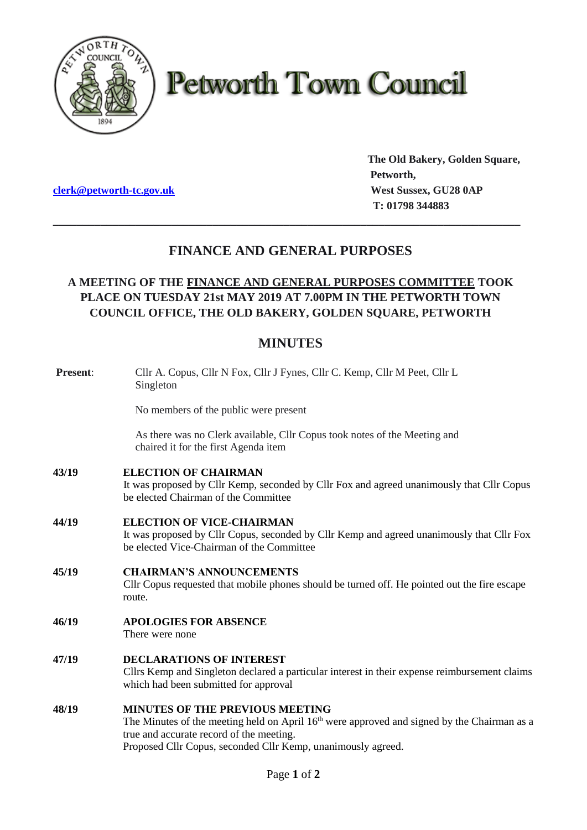

# **Petworth Town Council**

**clerk@petworth-tc.gov.uk** *West Sussex, GU28 0AP* 

**The Old Bakery, Golden Square, Petworth, T: 01798 344883**

# **FINANCE AND GENERAL PURPOSES**

**\_\_\_\_\_\_\_\_\_\_\_\_\_\_\_\_\_\_\_\_\_\_\_\_\_\_\_\_\_\_\_\_\_\_\_\_\_\_\_\_\_\_\_\_\_\_\_\_\_\_\_\_\_\_\_\_\_\_\_\_\_\_\_\_\_\_\_\_\_\_\_\_\_\_\_\_\_\_\_**

# **A MEETING OF THE FINANCE AND GENERAL PURPOSES COMMITTEE TOOK PLACE ON TUESDAY 21st MAY 2019 AT 7.00PM IN THE PETWORTH TOWN COUNCIL OFFICE, THE OLD BAKERY, GOLDEN SQUARE, PETWORTH**

# **MINUTES**

| <b>Present:</b> | Cllr A. Copus, Cllr N Fox, Cllr J Fynes, Cllr C. Kemp, Cllr M Peet, Cllr L<br>Singleton                                                                                                                                                                       |
|-----------------|---------------------------------------------------------------------------------------------------------------------------------------------------------------------------------------------------------------------------------------------------------------|
|                 | No members of the public were present                                                                                                                                                                                                                         |
|                 | As there was no Clerk available, Cllr Copus took notes of the Meeting and<br>chaired it for the first Agenda item                                                                                                                                             |
| 43/19           | <b>ELECTION OF CHAIRMAN</b><br>It was proposed by Cllr Kemp, seconded by Cllr Fox and agreed unanimously that Cllr Copus<br>be elected Chairman of the Committee                                                                                              |
| 44/19           | <b>ELECTION OF VICE-CHAIRMAN</b><br>It was proposed by Cllr Copus, seconded by Cllr Kemp and agreed unanimously that Cllr Fox<br>be elected Vice-Chairman of the Committee                                                                                    |
| 45/19           | <b>CHAIRMAN'S ANNOUNCEMENTS</b><br>Cllr Copus requested that mobile phones should be turned off. He pointed out the fire escape<br>route.                                                                                                                     |
| 46/19           | <b>APOLOGIES FOR ABSENCE</b><br>There were none                                                                                                                                                                                                               |
| 47/19           | <b>DECLARATIONS OF INTEREST</b><br>Cllrs Kemp and Singleton declared a particular interest in their expense reimbursement claims<br>which had been submitted for approval                                                                                     |
| 48/19           | <b>MINUTES OF THE PREVIOUS MEETING</b><br>The Minutes of the meeting held on April 16 <sup>th</sup> were approved and signed by the Chairman as a<br>true and accurate record of the meeting.<br>Proposed Cllr Copus, seconded Cllr Kemp, unanimously agreed. |